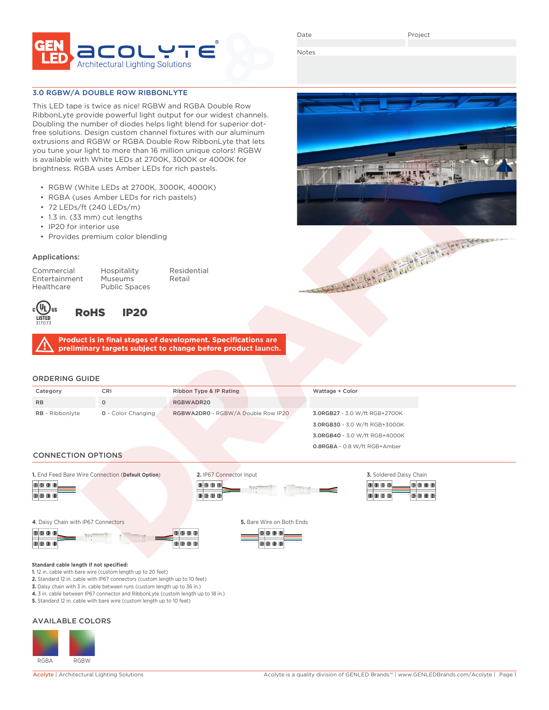

Date

Project

Notes

### 3.0 RGBW/A DOUBLE ROW RIBBONLYTE

This LED tape is twice as nice! RGBW and RGBA Double Row RibbonLyte provide powerful light output for our widest channels. Doubling the number of diodes helps light blend for superior dotfree solutions. Design custom channel fixtures with our aluminum extrusions and RGBW or RGBA Double Row RibbonLyte that lets you tune your light to more than 16 million unique colors! RGBW is available with White LEDs at 2700K, 3000K or 4000K for brightness. RGBA uses Amber LEDs for rich pastels.

- RGBW (White LEDs at 2700K, 3000K, 4000K)
- RGBA (uses Amber LEDs for rich pastels)
- 72 LEDs/ft (240 LEDs/m)
- 1.3 in. (33 mm) cut lengths
- IP20 for interior use
- Provides premium color blending

#### Applications:

Commercial Hospitality Residential Entertainment Museums Retail<br>Healthcare Public Spaces Public Spaces



# RoHS IP20

**Product is in final stages of development. Specifications are preliminary targets subject to change before product launch.**

#### ORDERING GUIDE

| Category               | CRI                       | Ribbon Type & IP Rating            | Wattage + Color               |
|------------------------|---------------------------|------------------------------------|-------------------------------|
| <b>RB</b>              | $\circ$                   | RGBWADR20                          |                               |
| <b>RB</b> - Ribbonlyte | <b>0</b> - Color Changing | RGBWA2DR0 - RGBW/A Double Row IP20 | 3.0RGB27 - 3.0 W/ft RGB+2700K |
|                        |                           |                                    | 3.0RGB30 - 3.0 W/ft RGB+3000K |
|                        |                           |                                    | 3.0RGB40 - 3.0 W/ft RGB+4000K |
|                        |                           |                                    | 0.8RGBA - 0.8 W/ft RGB+Amber  |

#### CONNECTION OPTIONS





| 3. Soldered Daisy Chain |                    |  |  |  |               |  |  |
|-------------------------|--------------------|--|--|--|---------------|--|--|
|                         | <b>B</b> B B B     |  |  |  | De Cercerce I |  |  |
|                         | <b>80 80 80 80</b> |  |  |  | 108080808     |  |  |

#### **4**. Daisy Chain with IP67 Connectors **5.** Bare Wire on Both Ends



**1.** 12 in. cable with bare wire (custom length up to 20 feet)







**Standard cable length if not specified:**

**4.** 3 in. cable between IP67 connector and RibbonLyte (custom length up to 18 in.)

**5.** Standard 12 in. cable with bare wire (custom length up to 10 feet)

### AVAILABLE COLORS



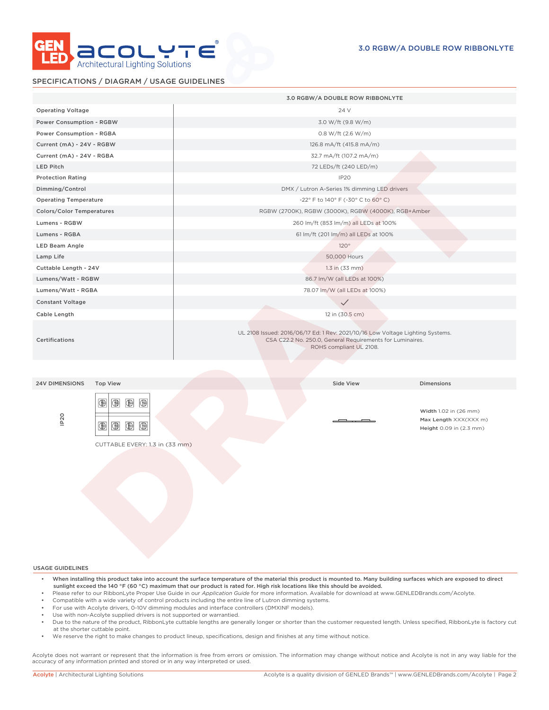

## SPECIFICATIONS / DIAGRAM / USAGE GUIDELINES

|                                                                                                                                                             | 3.0 RGBW/A DOUBLE ROW RIBBONLYTE                                                                                                                                       |  |  |  |  |  |
|-------------------------------------------------------------------------------------------------------------------------------------------------------------|------------------------------------------------------------------------------------------------------------------------------------------------------------------------|--|--|--|--|--|
| <b>Operating Voltage</b>                                                                                                                                    | 24 V                                                                                                                                                                   |  |  |  |  |  |
| Power Consumption - RGBW                                                                                                                                    | 3.0 W/ft (9.8 W/m)                                                                                                                                                     |  |  |  |  |  |
| Power Consumption - RGBA                                                                                                                                    | 0.8 W/ft (2.6 W/m)                                                                                                                                                     |  |  |  |  |  |
| Current (mA) - 24V - RGBW                                                                                                                                   | 126.8 mA/ft (415.8 mA/m)                                                                                                                                               |  |  |  |  |  |
| Current (mA) - 24V - RGBA                                                                                                                                   | 32.7 mA/ft (107.2 mA/m)                                                                                                                                                |  |  |  |  |  |
| LED Pitch                                                                                                                                                   | 72 LEDs/ft (240 LED/m)                                                                                                                                                 |  |  |  |  |  |
| <b>Protection Rating</b>                                                                                                                                    | IP <sub>20</sub>                                                                                                                                                       |  |  |  |  |  |
| Dimming/Control                                                                                                                                             | DMX / Lutron A-Series 1% dimming LED drivers                                                                                                                           |  |  |  |  |  |
| <b>Operating Temperature</b>                                                                                                                                | -22° F to 140° F (-30° C to 60° C)                                                                                                                                     |  |  |  |  |  |
| Colors/Color Temperatures                                                                                                                                   | RGBW (2700K), RGBW (3000K), RGBW (4000K), RGB+Amber                                                                                                                    |  |  |  |  |  |
| Lumens - RGBW                                                                                                                                               | 260 lm/ft (853 lm/m) all LEDs at 100%                                                                                                                                  |  |  |  |  |  |
| Lumens - RGBA                                                                                                                                               | 61 lm/ft (201 lm/m) all LEDs at 100%                                                                                                                                   |  |  |  |  |  |
| LED Beam Angle                                                                                                                                              | 120°                                                                                                                                                                   |  |  |  |  |  |
| Lamp Life                                                                                                                                                   | 50,000 Hours                                                                                                                                                           |  |  |  |  |  |
| Cuttable Length - 24V                                                                                                                                       | $1.3$ in $(33$ mm)                                                                                                                                                     |  |  |  |  |  |
| Lumens/Watt - RGBW                                                                                                                                          | 86.7 lm/W (all LEDs at 100%)                                                                                                                                           |  |  |  |  |  |
| Lumens/Watt - RGBA                                                                                                                                          | 78.07 lm/W (all LEDs at 100%)                                                                                                                                          |  |  |  |  |  |
| <b>Constant Voltage</b>                                                                                                                                     | $\checkmark$                                                                                                                                                           |  |  |  |  |  |
| Cable Length                                                                                                                                                | 12 in (30.5 cm)                                                                                                                                                        |  |  |  |  |  |
| Certifications                                                                                                                                              | UL 2108 Issued: 2016/06/17 Ed: 1 Rev: 2021/10/16 Low Voltage Lighting Systems.<br>CSA C22.2 No. 250.0, General Requirements for Luminaires.<br>ROHS compliant UL 2108. |  |  |  |  |  |
|                                                                                                                                                             |                                                                                                                                                                        |  |  |  |  |  |
| <b>24V DIMENSIONS</b><br><b>Top View</b>                                                                                                                    | Side View<br><b>Dimensions</b>                                                                                                                                         |  |  |  |  |  |
| $\bigoplus$<br>$\circledR$ $\circledR$<br>IP <sub>20</sub><br>$\blacksquare$ $\blacksquare$ $\blacksquare$<br>$\circledR$<br>CUTTABLE EVERY: 1.3 in (33 mm) | Width 1.02 in (26 mm)<br>Max Length XXX(XXX m)<br>Height 0.09 in (2.3 mm)                                                                                              |  |  |  |  |  |
|                                                                                                                                                             |                                                                                                                                                                        |  |  |  |  |  |

USAGE GUIDELINES

- When installing this product take into account the surface temperature of the material this product is mounted to. Many building surfaces which are exposed to direct sunlight exceed the 140 °F (60 °C) maximum that our product is rated for. High risk locations like this should be avoided.
- Please refer to our RibbonLyte Proper Use Guide in our *Application Guide* for more information. Available for download at www.GENLEDBrands.com/Acolyte.
- Compatible with a wide variety of control products including the entire line of Lutron dimming systems.
- For use with Acolyte drivers, 0-10V dimming modules and interface controllers (DMXINF models).
- Use with non-Acolyte supplied drivers is not supported or warrantied.
- Due to the nature of the product, RibbonLyte cuttable lengths are generally longer or shorter than the customer requested length. Unless specified, RibbonLyte is factory cut at the shorter cuttable point.
- We reserve the right to make changes to product lineup, specifications, design and finishes at any time without notice.

Acolyte does not warrant or represent that the information is free from errors or omission. The information may change without notice and Acolyte is not in any way liable for the accuracy of any information printed and stored or in any way interpreted or used.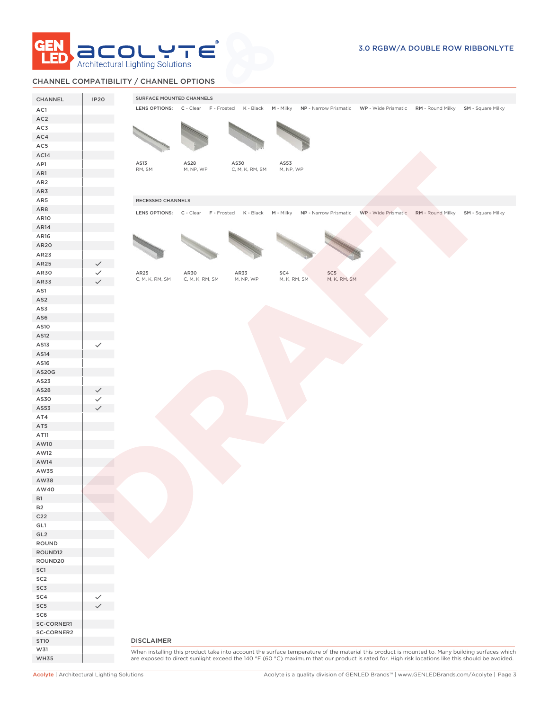

## CHANNEL COMPATIBILITY / CHANNEL OPTIONS

| LENS OPTIONS: C - Clear F - Frosted K - Black M - Milky NP - Narrow Prismatic WP - Wide Prismatic RM - Round Milky SM - Square Milky<br>AC1<br>AC <sub>2</sub><br>AC3<br>AC4<br>AC5<br>AC14<br>AS13<br>AS28<br>AS30<br>AS53<br>AP1<br>RM, SM<br>M, NP, WP<br>C, M, K, RM, SM<br>M, NP, WP<br>AR1<br>AR <sub>2</sub><br>AR3<br>AR5<br>RECESSED CHANNELS<br>AR8<br>LENS OPTIONS: C - Clear F - Frosted K - Black M - Milky NP - Narrow Prismatic WP - Wide Prismatic RM - Round Milky SM - Square Milky<br>AR10<br>AR14<br>AR16<br>AR20<br>AR23<br>AR25<br>AR30<br>AR25<br>AR30<br>AR33<br>SC4<br>SC5<br>M, K, RM, SM<br>M, K, RM, SM<br>C, M, K, RM, SM<br>C, M, K, RM, SM<br>M, NP, WP<br>AR33<br>AS1<br>AS <sub>2</sub><br>AS3<br>AS6<br>AS10<br>AS12<br>AS13<br>$\checkmark$<br>AS14<br>AS16<br>AS20G<br>AS23<br>AS28<br>AS30<br>AS53<br>AT4<br>AT5<br>AT11<br>AW10<br>AW12<br>AW14<br>AW35<br>AW38<br>AW40<br><b>B1</b><br><b>B2</b><br>C <sub>22</sub><br>GL1<br>GL <sub>2</sub><br>ROUND<br>ROUND12<br>ROUND20<br>SC1<br>SC <sub>2</sub><br>SC3<br>SC4<br>SC <sub>5</sub><br>SC6<br>SC-CORNER1<br>SC-CORNER2<br><b>DISCLAIMER</b><br><b>ST10</b><br>W31<br>are exposed to direct sunlight exceed the 140 °F (60 °C) maximum that our product is rated for. High risk locations like this should be avoided.<br><b>WH35</b> | CHANNEL | <b>IP20</b> | SURFACE MOUNTED CHANNELS |  |  |  |  |
|---------------------------------------------------------------------------------------------------------------------------------------------------------------------------------------------------------------------------------------------------------------------------------------------------------------------------------------------------------------------------------------------------------------------------------------------------------------------------------------------------------------------------------------------------------------------------------------------------------------------------------------------------------------------------------------------------------------------------------------------------------------------------------------------------------------------------------------------------------------------------------------------------------------------------------------------------------------------------------------------------------------------------------------------------------------------------------------------------------------------------------------------------------------------------------------------------------------------------------------------------------------------------------------------------------------------------------|---------|-------------|--------------------------|--|--|--|--|
|                                                                                                                                                                                                                                                                                                                                                                                                                                                                                                                                                                                                                                                                                                                                                                                                                                                                                                                                                                                                                                                                                                                                                                                                                                                                                                                                 |         |             |                          |  |  |  |  |
|                                                                                                                                                                                                                                                                                                                                                                                                                                                                                                                                                                                                                                                                                                                                                                                                                                                                                                                                                                                                                                                                                                                                                                                                                                                                                                                                 |         |             |                          |  |  |  |  |
| When installing this product take into account the surface temperature of the material this product is mounted to. Many building surfaces which                                                                                                                                                                                                                                                                                                                                                                                                                                                                                                                                                                                                                                                                                                                                                                                                                                                                                                                                                                                                                                                                                                                                                                                 |         |             |                          |  |  |  |  |
|                                                                                                                                                                                                                                                                                                                                                                                                                                                                                                                                                                                                                                                                                                                                                                                                                                                                                                                                                                                                                                                                                                                                                                                                                                                                                                                                 |         |             |                          |  |  |  |  |
|                                                                                                                                                                                                                                                                                                                                                                                                                                                                                                                                                                                                                                                                                                                                                                                                                                                                                                                                                                                                                                                                                                                                                                                                                                                                                                                                 |         |             |                          |  |  |  |  |
|                                                                                                                                                                                                                                                                                                                                                                                                                                                                                                                                                                                                                                                                                                                                                                                                                                                                                                                                                                                                                                                                                                                                                                                                                                                                                                                                 |         |             |                          |  |  |  |  |
|                                                                                                                                                                                                                                                                                                                                                                                                                                                                                                                                                                                                                                                                                                                                                                                                                                                                                                                                                                                                                                                                                                                                                                                                                                                                                                                                 |         |             |                          |  |  |  |  |
|                                                                                                                                                                                                                                                                                                                                                                                                                                                                                                                                                                                                                                                                                                                                                                                                                                                                                                                                                                                                                                                                                                                                                                                                                                                                                                                                 |         |             |                          |  |  |  |  |
|                                                                                                                                                                                                                                                                                                                                                                                                                                                                                                                                                                                                                                                                                                                                                                                                                                                                                                                                                                                                                                                                                                                                                                                                                                                                                                                                 |         |             |                          |  |  |  |  |
|                                                                                                                                                                                                                                                                                                                                                                                                                                                                                                                                                                                                                                                                                                                                                                                                                                                                                                                                                                                                                                                                                                                                                                                                                                                                                                                                 |         |             |                          |  |  |  |  |
|                                                                                                                                                                                                                                                                                                                                                                                                                                                                                                                                                                                                                                                                                                                                                                                                                                                                                                                                                                                                                                                                                                                                                                                                                                                                                                                                 |         |             |                          |  |  |  |  |
|                                                                                                                                                                                                                                                                                                                                                                                                                                                                                                                                                                                                                                                                                                                                                                                                                                                                                                                                                                                                                                                                                                                                                                                                                                                                                                                                 |         |             |                          |  |  |  |  |
|                                                                                                                                                                                                                                                                                                                                                                                                                                                                                                                                                                                                                                                                                                                                                                                                                                                                                                                                                                                                                                                                                                                                                                                                                                                                                                                                 |         |             |                          |  |  |  |  |
|                                                                                                                                                                                                                                                                                                                                                                                                                                                                                                                                                                                                                                                                                                                                                                                                                                                                                                                                                                                                                                                                                                                                                                                                                                                                                                                                 |         |             |                          |  |  |  |  |
|                                                                                                                                                                                                                                                                                                                                                                                                                                                                                                                                                                                                                                                                                                                                                                                                                                                                                                                                                                                                                                                                                                                                                                                                                                                                                                                                 |         |             |                          |  |  |  |  |
|                                                                                                                                                                                                                                                                                                                                                                                                                                                                                                                                                                                                                                                                                                                                                                                                                                                                                                                                                                                                                                                                                                                                                                                                                                                                                                                                 |         |             |                          |  |  |  |  |
|                                                                                                                                                                                                                                                                                                                                                                                                                                                                                                                                                                                                                                                                                                                                                                                                                                                                                                                                                                                                                                                                                                                                                                                                                                                                                                                                 |         |             |                          |  |  |  |  |
|                                                                                                                                                                                                                                                                                                                                                                                                                                                                                                                                                                                                                                                                                                                                                                                                                                                                                                                                                                                                                                                                                                                                                                                                                                                                                                                                 |         |             |                          |  |  |  |  |
|                                                                                                                                                                                                                                                                                                                                                                                                                                                                                                                                                                                                                                                                                                                                                                                                                                                                                                                                                                                                                                                                                                                                                                                                                                                                                                                                 |         |             |                          |  |  |  |  |
|                                                                                                                                                                                                                                                                                                                                                                                                                                                                                                                                                                                                                                                                                                                                                                                                                                                                                                                                                                                                                                                                                                                                                                                                                                                                                                                                 |         |             |                          |  |  |  |  |
|                                                                                                                                                                                                                                                                                                                                                                                                                                                                                                                                                                                                                                                                                                                                                                                                                                                                                                                                                                                                                                                                                                                                                                                                                                                                                                                                 |         |             |                          |  |  |  |  |
|                                                                                                                                                                                                                                                                                                                                                                                                                                                                                                                                                                                                                                                                                                                                                                                                                                                                                                                                                                                                                                                                                                                                                                                                                                                                                                                                 |         |             |                          |  |  |  |  |
|                                                                                                                                                                                                                                                                                                                                                                                                                                                                                                                                                                                                                                                                                                                                                                                                                                                                                                                                                                                                                                                                                                                                                                                                                                                                                                                                 |         |             |                          |  |  |  |  |
|                                                                                                                                                                                                                                                                                                                                                                                                                                                                                                                                                                                                                                                                                                                                                                                                                                                                                                                                                                                                                                                                                                                                                                                                                                                                                                                                 |         |             |                          |  |  |  |  |
|                                                                                                                                                                                                                                                                                                                                                                                                                                                                                                                                                                                                                                                                                                                                                                                                                                                                                                                                                                                                                                                                                                                                                                                                                                                                                                                                 |         |             |                          |  |  |  |  |
|                                                                                                                                                                                                                                                                                                                                                                                                                                                                                                                                                                                                                                                                                                                                                                                                                                                                                                                                                                                                                                                                                                                                                                                                                                                                                                                                 |         |             |                          |  |  |  |  |
|                                                                                                                                                                                                                                                                                                                                                                                                                                                                                                                                                                                                                                                                                                                                                                                                                                                                                                                                                                                                                                                                                                                                                                                                                                                                                                                                 |         |             |                          |  |  |  |  |
|                                                                                                                                                                                                                                                                                                                                                                                                                                                                                                                                                                                                                                                                                                                                                                                                                                                                                                                                                                                                                                                                                                                                                                                                                                                                                                                                 |         |             |                          |  |  |  |  |
|                                                                                                                                                                                                                                                                                                                                                                                                                                                                                                                                                                                                                                                                                                                                                                                                                                                                                                                                                                                                                                                                                                                                                                                                                                                                                                                                 |         |             |                          |  |  |  |  |
|                                                                                                                                                                                                                                                                                                                                                                                                                                                                                                                                                                                                                                                                                                                                                                                                                                                                                                                                                                                                                                                                                                                                                                                                                                                                                                                                 |         |             |                          |  |  |  |  |
|                                                                                                                                                                                                                                                                                                                                                                                                                                                                                                                                                                                                                                                                                                                                                                                                                                                                                                                                                                                                                                                                                                                                                                                                                                                                                                                                 |         |             |                          |  |  |  |  |
|                                                                                                                                                                                                                                                                                                                                                                                                                                                                                                                                                                                                                                                                                                                                                                                                                                                                                                                                                                                                                                                                                                                                                                                                                                                                                                                                 |         |             |                          |  |  |  |  |
|                                                                                                                                                                                                                                                                                                                                                                                                                                                                                                                                                                                                                                                                                                                                                                                                                                                                                                                                                                                                                                                                                                                                                                                                                                                                                                                                 |         |             |                          |  |  |  |  |
|                                                                                                                                                                                                                                                                                                                                                                                                                                                                                                                                                                                                                                                                                                                                                                                                                                                                                                                                                                                                                                                                                                                                                                                                                                                                                                                                 |         |             |                          |  |  |  |  |
|                                                                                                                                                                                                                                                                                                                                                                                                                                                                                                                                                                                                                                                                                                                                                                                                                                                                                                                                                                                                                                                                                                                                                                                                                                                                                                                                 |         |             |                          |  |  |  |  |
|                                                                                                                                                                                                                                                                                                                                                                                                                                                                                                                                                                                                                                                                                                                                                                                                                                                                                                                                                                                                                                                                                                                                                                                                                                                                                                                                 |         |             |                          |  |  |  |  |
|                                                                                                                                                                                                                                                                                                                                                                                                                                                                                                                                                                                                                                                                                                                                                                                                                                                                                                                                                                                                                                                                                                                                                                                                                                                                                                                                 |         |             |                          |  |  |  |  |
|                                                                                                                                                                                                                                                                                                                                                                                                                                                                                                                                                                                                                                                                                                                                                                                                                                                                                                                                                                                                                                                                                                                                                                                                                                                                                                                                 |         |             |                          |  |  |  |  |
|                                                                                                                                                                                                                                                                                                                                                                                                                                                                                                                                                                                                                                                                                                                                                                                                                                                                                                                                                                                                                                                                                                                                                                                                                                                                                                                                 |         |             |                          |  |  |  |  |
|                                                                                                                                                                                                                                                                                                                                                                                                                                                                                                                                                                                                                                                                                                                                                                                                                                                                                                                                                                                                                                                                                                                                                                                                                                                                                                                                 |         |             |                          |  |  |  |  |
|                                                                                                                                                                                                                                                                                                                                                                                                                                                                                                                                                                                                                                                                                                                                                                                                                                                                                                                                                                                                                                                                                                                                                                                                                                                                                                                                 |         |             |                          |  |  |  |  |
|                                                                                                                                                                                                                                                                                                                                                                                                                                                                                                                                                                                                                                                                                                                                                                                                                                                                                                                                                                                                                                                                                                                                                                                                                                                                                                                                 |         |             |                          |  |  |  |  |
|                                                                                                                                                                                                                                                                                                                                                                                                                                                                                                                                                                                                                                                                                                                                                                                                                                                                                                                                                                                                                                                                                                                                                                                                                                                                                                                                 |         |             |                          |  |  |  |  |
|                                                                                                                                                                                                                                                                                                                                                                                                                                                                                                                                                                                                                                                                                                                                                                                                                                                                                                                                                                                                                                                                                                                                                                                                                                                                                                                                 |         |             |                          |  |  |  |  |
|                                                                                                                                                                                                                                                                                                                                                                                                                                                                                                                                                                                                                                                                                                                                                                                                                                                                                                                                                                                                                                                                                                                                                                                                                                                                                                                                 |         |             |                          |  |  |  |  |
|                                                                                                                                                                                                                                                                                                                                                                                                                                                                                                                                                                                                                                                                                                                                                                                                                                                                                                                                                                                                                                                                                                                                                                                                                                                                                                                                 |         |             |                          |  |  |  |  |
|                                                                                                                                                                                                                                                                                                                                                                                                                                                                                                                                                                                                                                                                                                                                                                                                                                                                                                                                                                                                                                                                                                                                                                                                                                                                                                                                 |         |             |                          |  |  |  |  |
|                                                                                                                                                                                                                                                                                                                                                                                                                                                                                                                                                                                                                                                                                                                                                                                                                                                                                                                                                                                                                                                                                                                                                                                                                                                                                                                                 |         |             |                          |  |  |  |  |
|                                                                                                                                                                                                                                                                                                                                                                                                                                                                                                                                                                                                                                                                                                                                                                                                                                                                                                                                                                                                                                                                                                                                                                                                                                                                                                                                 |         |             |                          |  |  |  |  |
|                                                                                                                                                                                                                                                                                                                                                                                                                                                                                                                                                                                                                                                                                                                                                                                                                                                                                                                                                                                                                                                                                                                                                                                                                                                                                                                                 |         |             |                          |  |  |  |  |
|                                                                                                                                                                                                                                                                                                                                                                                                                                                                                                                                                                                                                                                                                                                                                                                                                                                                                                                                                                                                                                                                                                                                                                                                                                                                                                                                 |         |             |                          |  |  |  |  |
|                                                                                                                                                                                                                                                                                                                                                                                                                                                                                                                                                                                                                                                                                                                                                                                                                                                                                                                                                                                                                                                                                                                                                                                                                                                                                                                                 |         |             |                          |  |  |  |  |
|                                                                                                                                                                                                                                                                                                                                                                                                                                                                                                                                                                                                                                                                                                                                                                                                                                                                                                                                                                                                                                                                                                                                                                                                                                                                                                                                 |         |             |                          |  |  |  |  |
|                                                                                                                                                                                                                                                                                                                                                                                                                                                                                                                                                                                                                                                                                                                                                                                                                                                                                                                                                                                                                                                                                                                                                                                                                                                                                                                                 |         |             |                          |  |  |  |  |
|                                                                                                                                                                                                                                                                                                                                                                                                                                                                                                                                                                                                                                                                                                                                                                                                                                                                                                                                                                                                                                                                                                                                                                                                                                                                                                                                 |         |             |                          |  |  |  |  |
|                                                                                                                                                                                                                                                                                                                                                                                                                                                                                                                                                                                                                                                                                                                                                                                                                                                                                                                                                                                                                                                                                                                                                                                                                                                                                                                                 |         |             |                          |  |  |  |  |
|                                                                                                                                                                                                                                                                                                                                                                                                                                                                                                                                                                                                                                                                                                                                                                                                                                                                                                                                                                                                                                                                                                                                                                                                                                                                                                                                 |         |             |                          |  |  |  |  |
|                                                                                                                                                                                                                                                                                                                                                                                                                                                                                                                                                                                                                                                                                                                                                                                                                                                                                                                                                                                                                                                                                                                                                                                                                                                                                                                                 |         |             |                          |  |  |  |  |
|                                                                                                                                                                                                                                                                                                                                                                                                                                                                                                                                                                                                                                                                                                                                                                                                                                                                                                                                                                                                                                                                                                                                                                                                                                                                                                                                 |         |             |                          |  |  |  |  |
|                                                                                                                                                                                                                                                                                                                                                                                                                                                                                                                                                                                                                                                                                                                                                                                                                                                                                                                                                                                                                                                                                                                                                                                                                                                                                                                                 |         |             |                          |  |  |  |  |